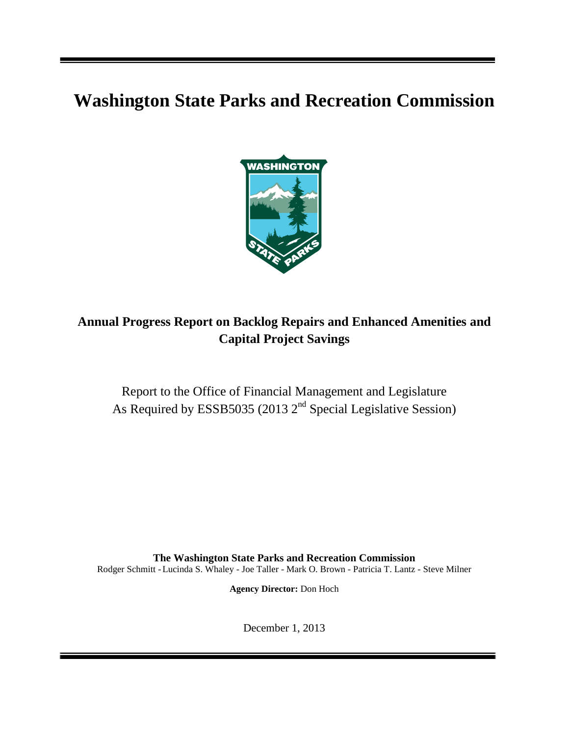# **Washington State Parks and Recreation Commission**



# **Annual Progress Report on Backlog Repairs and Enhanced Amenities and Capital Project Savings**

Report to the Office of Financial Management and Legislature As Required by ESSB5035 (2013  $2<sup>nd</sup>$  Special Legislative Session)

**The Washington State Parks and Recreation Commission** Rodger Schmitt -Lucinda S. Whaley - Joe Taller - Mark O. Brown - Patricia T. Lantz - Steve Milner

**Agency Director:** Don Hoch

December 1, 2013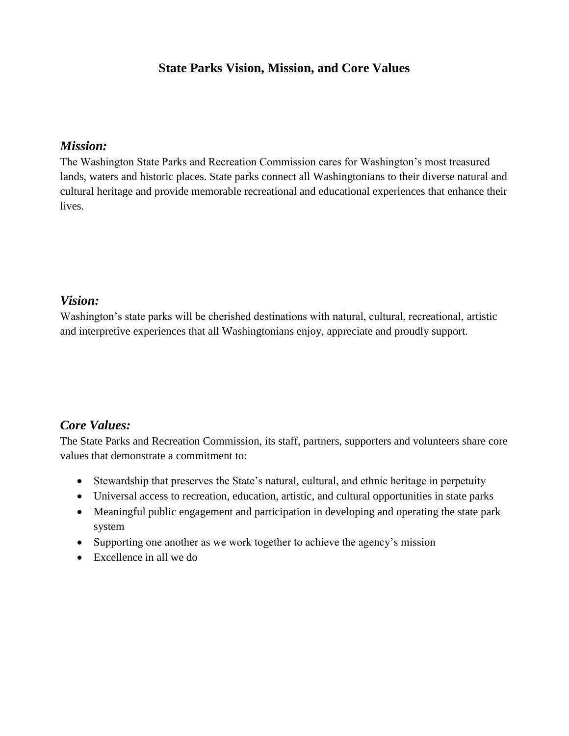### **State Parks Vision, Mission, and Core Values**

#### *Mission:*

The Washington State Parks and Recreation Commission cares for Washington's most treasured lands, waters and historic places. State parks connect all Washingtonians to their diverse natural and cultural heritage and provide memorable recreational and educational experiences that enhance their lives.

#### *Vision:*

Washington's state parks will be cherished destinations with natural, cultural, recreational, artistic and interpretive experiences that all Washingtonians enjoy, appreciate and proudly support.

#### *Core Values:*

The State Parks and Recreation Commission, its staff, partners, supporters and volunteers share core values that demonstrate a commitment to:

- Stewardship that preserves the State's natural, cultural, and ethnic heritage in perpetuity
- Universal access to recreation, education, artistic, and cultural opportunities in state parks
- Meaningful public engagement and participation in developing and operating the state park system
- Supporting one another as we work together to achieve the agency's mission
- $\bullet$  Excellence in all we do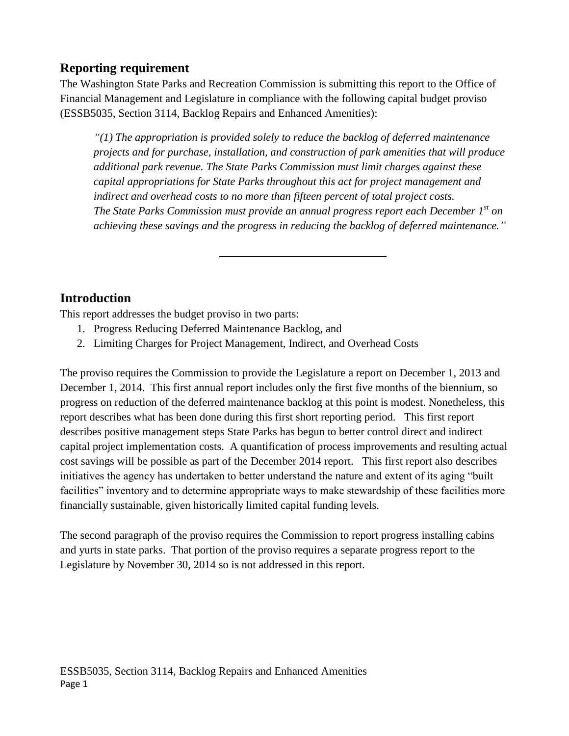# **Reporting requirement**

The Washington State Parks and Recreation Commission is submitting this report to the Office of Financial Management and Legislature in compliance with the following capital budget proviso (ESSB5035, Section 3114, Backlog Repairs and Enhanced Amenities):

*"(1) The appropriation is provided solely to reduce the backlog of deferred maintenance projects and for purchase, installation, and construction of park amenities that will produce additional park revenue. The State Parks Commission must limit charges against these capital appropriations for State Parks throughout this act for project management and indirect and overhead costs to no more than fifteen percent of total project costs. The State Parks Commission must provide an annual progress report each December 1st on achieving these savings and the progress in reducing the backlog of deferred maintenance."*

# **Introduction**

This report addresses the budget proviso in two parts:

- 1. Progress Reducing Deferred Maintenance Backlog, and
- 2. Limiting Charges for Project Management, Indirect, and Overhead Costs

The proviso requires the Commission to provide the Legislature a report on December 1, 2013 and December 1, 2014. This first annual report includes only the first five months of the biennium, so progress on reduction of the deferred maintenance backlog at this point is modest. Nonetheless, this report describes what has been done during this first short reporting period. This first report describes positive management steps State Parks has begun to better control direct and indirect capital project implementation costs. A quantification of process improvements and resulting actual cost savings will be possible as part of the December 2014 report. This first report also describes initiatives the agency has undertaken to better understand the nature and extent of its aging "built facilities" inventory and to determine appropriate ways to make stewardship of these facilities more financially sustainable, given historically limited capital funding levels.

The second paragraph of the proviso requires the Commission to report progress installing cabins and yurts in state parks. That portion of the proviso requires a separate progress report to the Legislature by November 30, 2014 so is not addressed in this report.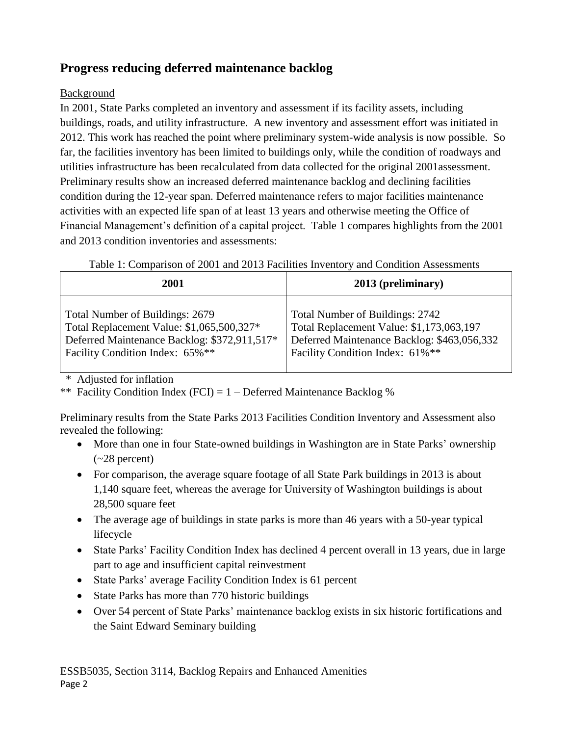# **Progress reducing deferred maintenance backlog**

#### Background

In 2001, State Parks completed an inventory and assessment if its facility assets, including buildings, roads, and utility infrastructure. A new inventory and assessment effort was initiated in 2012. This work has reached the point where preliminary system-wide analysis is now possible. So far, the facilities inventory has been limited to buildings only, while the condition of roadways and utilities infrastructure has been recalculated from data collected for the original 2001assessment. Preliminary results show an increased deferred maintenance backlog and declining facilities condition during the 12-year span. Deferred maintenance refers to major facilities maintenance activities with an expected life span of at least 13 years and otherwise meeting the Office of Financial Management's definition of a capital project. Table 1 compares highlights from the 2001 and 2013 condition inventories and assessments:

|  |  | Table 1: Comparison of 2001 and 2013 Facilities Inventory and Condition Assessments |
|--|--|-------------------------------------------------------------------------------------|
|  |  |                                                                                     |

| 2001                                         | 2013 (preliminary)                          |
|----------------------------------------------|---------------------------------------------|
| Total Number of Buildings: 2679              | Total Number of Buildings: 2742             |
| Total Replacement Value: \$1,065,500,327*    | Total Replacement Value: \$1,173,063,197    |
| Deferred Maintenance Backlog: \$372,911,517* | Deferred Maintenance Backlog: \$463,056,332 |
| Facility Condition Index: 65%**              | Facility Condition Index: 61%**             |

\* Adjusted for inflation

\*\* Facility Condition Index (FCI) =  $1 -$  Deferred Maintenance Backlog %

Preliminary results from the State Parks 2013 Facilities Condition Inventory and Assessment also revealed the following:

- More than one in four State-owned buildings in Washington are in State Parks' ownership  $(-28$  percent)
- For comparison, the average square footage of all State Park buildings in 2013 is about 1,140 square feet, whereas the average for University of Washington buildings is about 28,500 square feet
- The average age of buildings in state parks is more than 46 years with a 50-year typical lifecycle
- State Parks' Facility Condition Index has declined 4 percent overall in 13 years, due in large part to age and insufficient capital reinvestment
- State Parks' average Facility Condition Index is 61 percent
- State Parks has more than 770 historic buildings
- Over 54 percent of State Parks' maintenance backlog exists in six historic fortifications and the Saint Edward Seminary building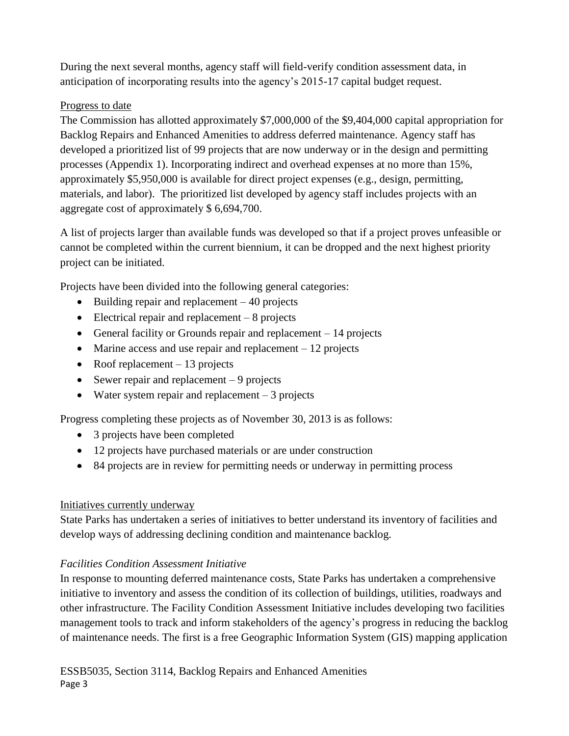During the next several months, agency staff will field-verify condition assessment data, in anticipation of incorporating results into the agency's 2015-17 capital budget request.

#### Progress to date

The Commission has allotted approximately \$7,000,000 of the \$9,404,000 capital appropriation for Backlog Repairs and Enhanced Amenities to address deferred maintenance. Agency staff has developed a prioritized list of 99 projects that are now underway or in the design and permitting processes (Appendix 1). Incorporating indirect and overhead expenses at no more than 15%, approximately \$5,950,000 is available for direct project expenses (e.g., design, permitting, materials, and labor). The prioritized list developed by agency staff includes projects with an aggregate cost of approximately \$ 6,694,700.

A list of projects larger than available funds was developed so that if a project proves unfeasible or cannot be completed within the current biennium, it can be dropped and the next highest priority project can be initiated.

Projects have been divided into the following general categories:

- $\bullet$  Building repair and replacement  $-40$  projects
- Electrical repair and replacement 8 projects
- General facility or Grounds repair and replacement  $-14$  projects
- Marine access and use repair and replacement  $-12$  projects
- Roof replacement  $-13$  projects
- Sewer repair and replacement  $-9$  projects
- Water system repair and replacement  $-3$  projects

Progress completing these projects as of November 30, 2013 is as follows:

- 3 projects have been completed
- 12 projects have purchased materials or are under construction
- 84 projects are in review for permitting needs or underway in permitting process

#### Initiatives currently underway

State Parks has undertaken a series of initiatives to better understand its inventory of facilities and develop ways of addressing declining condition and maintenance backlog.

#### *Facilities Condition Assessment Initiative*

In response to mounting deferred maintenance costs, State Parks has undertaken a comprehensive initiative to inventory and assess the condition of its collection of buildings, utilities, roadways and other infrastructure. The Facility Condition Assessment Initiative includes developing two facilities management tools to track and inform stakeholders of the agency's progress in reducing the backlog of maintenance needs. The first is a free Geographic Information System (GIS) mapping application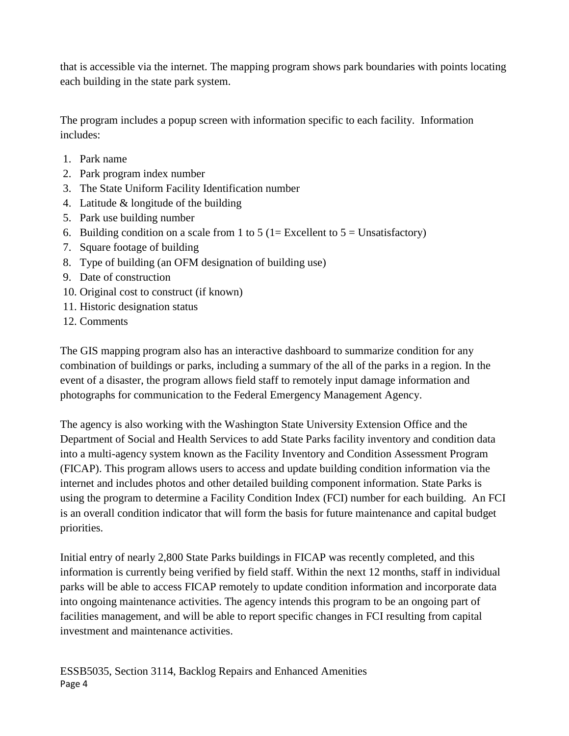that is accessible via the internet. The mapping program shows park boundaries with points locating each building in the state park system.

The program includes a popup screen with information specific to each facility. Information includes:

- 1. Park name
- 2. Park program index number
- 3. The State Uniform Facility Identification number
- 4. Latitude & longitude of the building
- 5. Park use building number
- 6. Building condition on a scale from 1 to 5 (1= Excellent to  $5 =$  Unsatisfactory)
- 7. Square footage of building
- 8. Type of building (an OFM designation of building use)
- 9. Date of construction
- 10. Original cost to construct (if known)
- 11. Historic designation status
- 12. Comments

The GIS mapping program also has an interactive dashboard to summarize condition for any combination of buildings or parks, including a summary of the all of the parks in a region. In the event of a disaster, the program allows field staff to remotely input damage information and photographs for communication to the Federal Emergency Management Agency.

The agency is also working with the Washington State University Extension Office and the Department of Social and Health Services to add State Parks facility inventory and condition data into a multi-agency system known as the Facility Inventory and Condition Assessment Program (FICAP). This program allows users to access and update building condition information via the internet and includes photos and other detailed building component information. State Parks is using the program to determine a Facility Condition Index (FCI) number for each building. An FCI is an overall condition indicator that will form the basis for future maintenance and capital budget priorities.

Initial entry of nearly 2,800 State Parks buildings in FICAP was recently completed, and this information is currently being verified by field staff. Within the next 12 months, staff in individual parks will be able to access FICAP remotely to update condition information and incorporate data into ongoing maintenance activities. The agency intends this program to be an ongoing part of facilities management, and will be able to report specific changes in FCI resulting from capital investment and maintenance activities.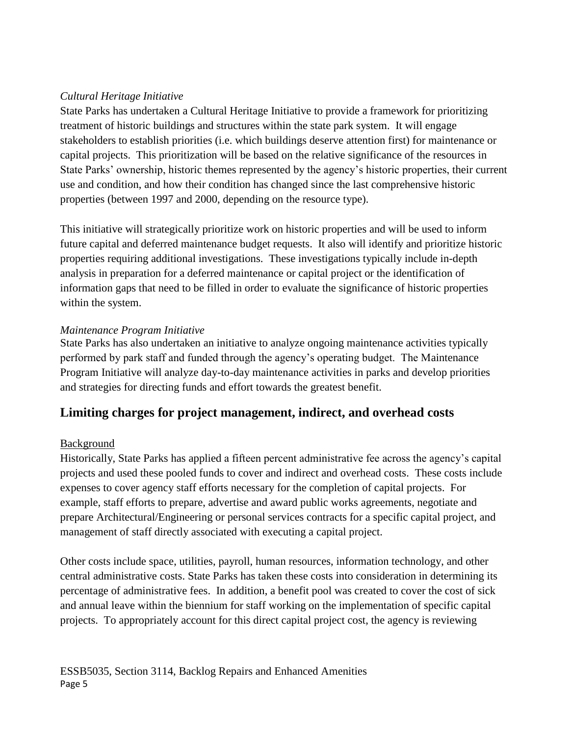#### *Cultural Heritage Initiative*

State Parks has undertaken a Cultural Heritage Initiative to provide a framework for prioritizing treatment of historic buildings and structures within the state park system. It will engage stakeholders to establish priorities (i.e. which buildings deserve attention first) for maintenance or capital projects. This prioritization will be based on the relative significance of the resources in State Parks' ownership, historic themes represented by the agency's historic properties, their current use and condition, and how their condition has changed since the last comprehensive historic properties (between 1997 and 2000, depending on the resource type).

This initiative will strategically prioritize work on historic properties and will be used to inform future capital and deferred maintenance budget requests. It also will identify and prioritize historic properties requiring additional investigations. These investigations typically include in-depth analysis in preparation for a deferred maintenance or capital project or the identification of information gaps that need to be filled in order to evaluate the significance of historic properties within the system.

#### *Maintenance Program Initiative*

State Parks has also undertaken an initiative to analyze ongoing maintenance activities typically performed by park staff and funded through the agency's operating budget. The Maintenance Program Initiative will analyze day-to-day maintenance activities in parks and develop priorities and strategies for directing funds and effort towards the greatest benefit.

### **Limiting charges for project management, indirect, and overhead costs**

#### Background

Historically, State Parks has applied a fifteen percent administrative fee across the agency's capital projects and used these pooled funds to cover and indirect and overhead costs. These costs include expenses to cover agency staff efforts necessary for the completion of capital projects. For example, staff efforts to prepare, advertise and award public works agreements, negotiate and prepare Architectural/Engineering or personal services contracts for a specific capital project, and management of staff directly associated with executing a capital project.

Other costs include space, utilities, payroll, human resources, information technology, and other central administrative costs. State Parks has taken these costs into consideration in determining its percentage of administrative fees. In addition, a benefit pool was created to cover the cost of sick and annual leave within the biennium for staff working on the implementation of specific capital projects. To appropriately account for this direct capital project cost, the agency is reviewing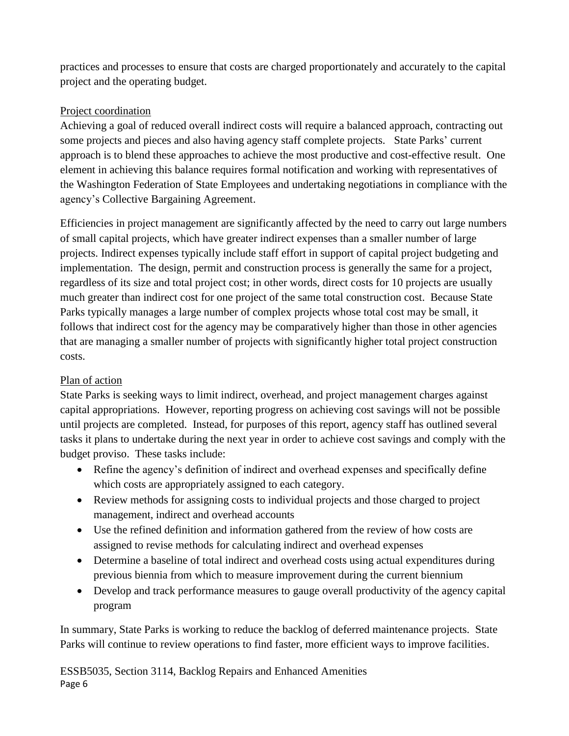practices and processes to ensure that costs are charged proportionately and accurately to the capital project and the operating budget.

#### Project coordination

Achieving a goal of reduced overall indirect costs will require a balanced approach, contracting out some projects and pieces and also having agency staff complete projects. State Parks' current approach is to blend these approaches to achieve the most productive and cost-effective result. One element in achieving this balance requires formal notification and working with representatives of the Washington Federation of State Employees and undertaking negotiations in compliance with the agency's Collective Bargaining Agreement.

Efficiencies in project management are significantly affected by the need to carry out large numbers of small capital projects, which have greater indirect expenses than a smaller number of large projects. Indirect expenses typically include staff effort in support of capital project budgeting and implementation. The design, permit and construction process is generally the same for a project, regardless of its size and total project cost; in other words, direct costs for 10 projects are usually much greater than indirect cost for one project of the same total construction cost. Because State Parks typically manages a large number of complex projects whose total cost may be small, it follows that indirect cost for the agency may be comparatively higher than those in other agencies that are managing a smaller number of projects with significantly higher total project construction costs.

#### Plan of action

State Parks is seeking ways to limit indirect, overhead, and project management charges against capital appropriations. However, reporting progress on achieving cost savings will not be possible until projects are completed. Instead, for purposes of this report, agency staff has outlined several tasks it plans to undertake during the next year in order to achieve cost savings and comply with the budget proviso. These tasks include:

- Refine the agency's definition of indirect and overhead expenses and specifically define which costs are appropriately assigned to each category.
- Review methods for assigning costs to individual projects and those charged to project management, indirect and overhead accounts
- Use the refined definition and information gathered from the review of how costs are assigned to revise methods for calculating indirect and overhead expenses
- Determine a baseline of total indirect and overhead costs using actual expenditures during previous biennia from which to measure improvement during the current biennium
- Develop and track performance measures to gauge overall productivity of the agency capital program

In summary, State Parks is working to reduce the backlog of deferred maintenance projects. State Parks will continue to review operations to find faster, more efficient ways to improve facilities.

ESSB5035, Section 3114, Backlog Repairs and Enhanced Amenities Page 6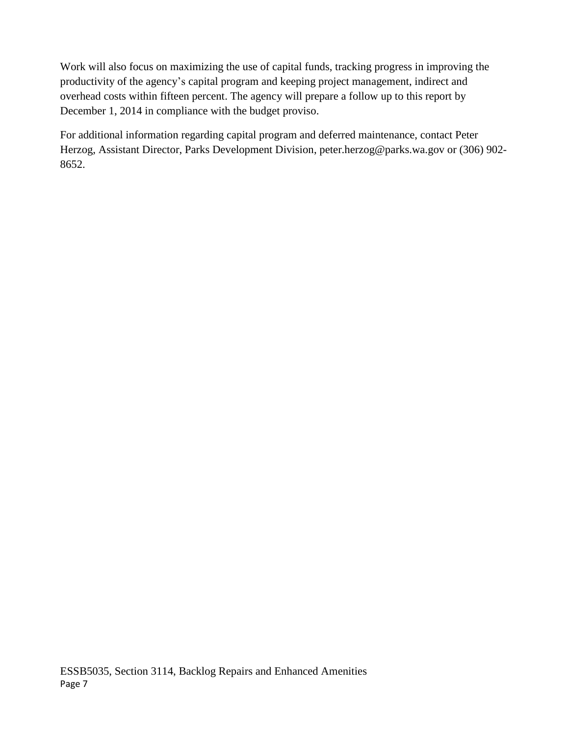Work will also focus on maximizing the use of capital funds, tracking progress in improving the productivity of the agency's capital program and keeping project management, indirect and overhead costs within fifteen percent. The agency will prepare a follow up to this report by December 1, 2014 in compliance with the budget proviso.

For additional information regarding capital program and deferred maintenance, contact Peter Herzog, Assistant Director, Parks Development Division, peter.herzog@parks.wa.gov or (306) 902- 8652.